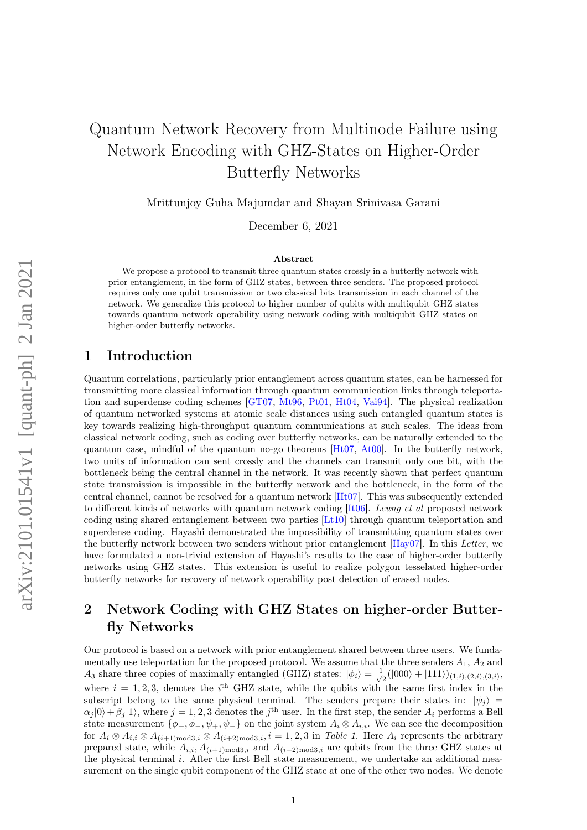# Quantum Network Recovery from Multinode Failure using Network Encoding with GHZ-States on Higher-Order Butterfly Networks

Mrittunjoy Guha Majumdar and Shayan Srinivasa Garani

December 6, 2021

#### Abstract

We propose a protocol to transmit three quantum states crossly in a butterfly network with prior entanglement, in the form of GHZ states, between three senders. The proposed protocol requires only one qubit transmission or two classical bits transmission in each channel of the network. We generalize this protocol to higher number of qubits with multiqubit GHZ states towards quantum network operability using network coding with multiqubit GHZ states on higher-order butterfly networks.

### 1 Introduction

Quantum correlations, particularly prior entanglement across quantum states, can be harnessed for transmitting more classical information through quantum communication links through teleportation and superdense coding schemes [\[GT07,](#page-4-0) [Mt96,](#page-4-1) [Pt01,](#page-4-2) [Ht04,](#page-4-3) [Vai94\]](#page-4-4). The physical realization of quantum networked systems at atomic scale distances using such entangled quantum states is key towards realizing high-throughput quantum communications at such scales. The ideas from classical network coding, such as coding over butterfly networks, can be naturally extended to the quantum case, mindful of the quantum no-go theorems [\[Ht07,](#page-4-5) [At00\]](#page-3-0). In the butterfly network, two units of information can sent crossly and the channels can transmit only one bit, with the bottleneck being the central channel in the network. It was recently shown that perfect quantum state transmission is impossible in the butterfly network and the bottleneck, in the form of the central channel, cannot be resolved for a quantum network [\[Ht07\]](#page-4-5). This was subsequently extended to different kinds of networks with quantum network coding  $[It06]$ . Leung et al proposed network coding using shared entanglement between two parties [\[Lt10\]](#page-4-7) through quantum teleportation and superdense coding. Hayashi demonstrated the impossibility of transmitting quantum states over the butterfly network between two senders without prior entanglement [\[Hay07\]](#page-4-8). In this Letter, we have formulated a non-trivial extension of Hayashi's results to the case of higher-order butterfly networks using GHZ states. This extension is useful to realize polygon tesselated higher-order butterfly networks for recovery of network operability post detection of erased nodes.

# 2 Network Coding with GHZ States on higher-order Butterfly Networks

Our protocol is based on a network with prior entanglement shared between three users. We fundamentally use teleportation for the proposed protocol. We assume that the three senders  $A_1$ ,  $A_2$  and  $A_3$  share three copies of maximally entangled (GHZ) states:  $|\phi_i\rangle = \frac{1}{\sqrt{2}}$  $\frac{1}{2}(|000\rangle+|111\rangle)_{(1,i),(2,i),(3,i)},$ where  $i = 1, 2, 3$ , denotes the i<sup>th</sup> GHZ state, while the qubits with the same first index in the subscript belong to the same physical terminal. The senders prepare their states in:  $|\psi_i\rangle$  =  $\alpha_j |0\rangle + \beta_j |1\rangle$ , where  $j = 1, 2, 3$  denotes the  $j^{\text{th}}$  user. In the first step, the sender  $A_i$  performs a Bell state measurement  $\{\phi_+, \phi_-, \psi_+, \psi_-\}$  on the joint system  $A_i \otimes A_{i,i}$ . We can see the decomposition for  $A_i \otimes A_{i,i} \otimes A_{(i+1)\text{mod}3,i} \otimes A_{(i+2)\text{mod}3,i}$ ,  $i = 1, 2, 3$  in Table 1. Here  $A_i$  represents the arbitrary prepared state, while  $A_{i,i}$ ,  $A_{(i+1) \text{mod} 3,i}$  and  $A_{(i+2) \text{mod} 3,i}$  are qubits from the three GHZ states at the physical terminal i. After the first Bell state measurement, we undertake an additional measurement on the single qubit component of the GHZ state at one of the other two nodes. We denote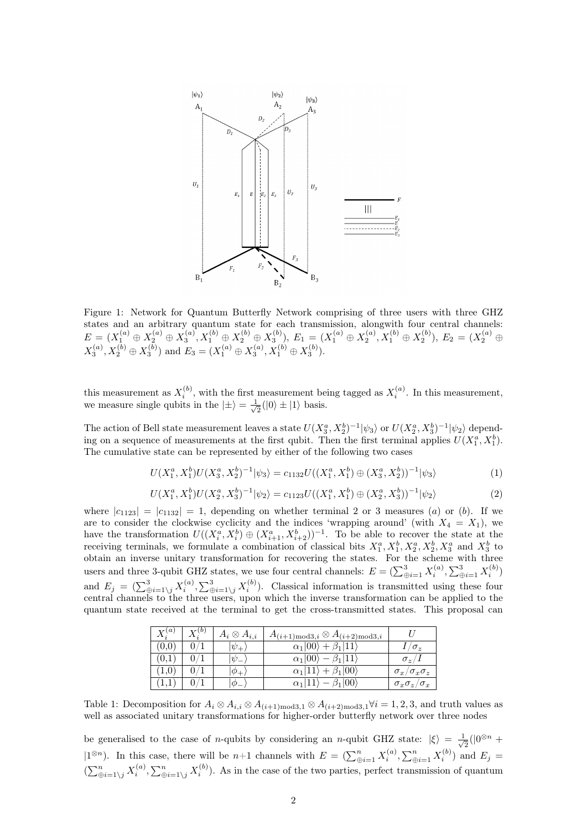

Figure 1: Network for Quantum Butterfly Network comprising of three users with three GHZ states and an arbitrary quantum state for each transmission, alongwith four central channels:  $E=(X_1^{(a)}\oplus X_2^{(a)}\oplus X_3^{(a)},X_1^{(b)}\oplus X_2^{(b)}\oplus X_3^{(b)}),\ E_1=(X_1^{(a)}\oplus X_2^{(a)},X_1^{(b)}\oplus X_2^{(b)}),\ E_2=(X_2^{(a)}\oplus X_3^{(b)}),\ E_3=(X_3^{(b)}\oplus X_3^{(b)}),\ E_4=(X_3^{(b)}\oplus X_2^{(b)}),\ E_5=(X_3^{(b)}\oplus X_3^{(b)}),\ E_6=(X_3^{(b)}\oplus X_3^{(b)}),\ E_7=(X_3$  $X_3^{(a)}, X_2^{(b)} \oplus X_3^{(b)}$  and  $E_3 = (X_1^{(a)} \oplus X_3^{(a)}, X_1^{(b)} \oplus X_3^{(b)})$ .

this measurement as  $X_i^{(b)}$ , with the first measurement being tagged as  $X_i^{(a)}$ . In this measurement, we measure single qubits in the  $|\pm\rangle = \frac{1}{\sqrt{2}}$  $\frac{1}{2}(|0\rangle \pm |1\rangle)$  basis.

The action of Bell state measurement leaves a state  $U(X_3^a, X_2^b)^{-1}|\psi_3\rangle$  or  $U(X_2^a, X_3^b)^{-1}|\psi_2\rangle$  depending on a sequence of measurements at the first qubit. Then the first terminal applies  $U(X_1^a, X_1^b)$ . The cumulative state can be represented by either of the following two cases

$$
U(X_1^a, X_1^b)U(X_3^a, X_2^b)^{-1}|\psi_3\rangle = c_{1132}U((X_1^a, X_1^b) \oplus (X_3^a, X_2^b))^{-1}|\psi_3\rangle \tag{1}
$$

$$
U(X_1^a, X_1^b)U(X_2^a, X_3^b)^{-1}|\psi_2\rangle = c_{1123}U((X_1^a, X_1^b) \oplus (X_2^a, X_3^b))^{-1}|\psi_2\rangle
$$
\n(2)

where  $|c_{1123}| = |c_{1132}| = 1$ , depending on whether terminal 2 or 3 measures (a) or (b). If we are to consider the clockwise cyclicity and the indices 'wrapping around' (with  $X_4 = X_1$ ), we have the transformation  $U((X_i^a, X_i^b) \oplus (X_{i+1}^a, X_{i+2}^b))^{-1}$ . To be able to recover the state at the receiving terminals, we formulate a combination of classical bits  $X_1^a, X_1^b, X_2^a, X_2^b, X_3^a$  and  $X_3^b$  to Letterving terminals, we formulate a combination of classical bits  $A_1, A_1, A_2, A_2, A_3$  and  $A_3$  to<br>obtain an inverse unitary transformation for recovering the states. For the scheme with three users and three 3-qubit GHZ states, we use four central channels:  $E = (\sum_{\oplus i=1}^{3} X_i^{(a)}, \sum_{\oplus i=1}^{3} X_i^{(b)})$ and  $E_j = (\sum_{\oplus i=1\setminus j}^3 X_i^{(a)}, \sum_{\oplus i=1\setminus j}^3 X_i^{(b)})$ . Classical information is transmitted using these four central channels to the three users, upon which the inverse transformation can be applied to the quantum state received at the terminal to get the cross-transmitted states. This proposal can

| $X_{\cdot}^{(a)}$ | $X_i^{(0)}$ | $A_i\otimes A_{i,i}$  | $A_{(i+1)\text{mod}3,i} \otimes A_{(i+2)\text{mod}3,i}$ |                                |
|-------------------|-------------|-----------------------|---------------------------------------------------------|--------------------------------|
| (0,0)             | 0/1         | $ \psi_{+} $          | $\alpha_1 00\rangle + \beta_1 11\rangle$                | $1/\sigma_{\gamma}$            |
| (0,1)             | 0/1         | $ \psi_{-} $          | $\alpha_1 00\rangle - \beta_1 11\rangle$                | $\sigma_z/1$                   |
| (1,0)             | 0/1         | $ \phi_+ $            | $\alpha_1 11\rangle + \beta_1 00\rangle$                | $\sigma_x/\sigma_x\sigma_z$    |
| (1,1)             |             | $\phi$ <sub>-</sub> . | $\alpha_1 11\rangle - \beta_1 00\rangle$                | $\sigma_x \sigma_z / \sigma_x$ |

Table 1: Decomposition for  $A_i \otimes A_{i,i} \otimes A_{(i+1) \text{mod} 3,1} \otimes A_{(i+2) \text{mod} 3,1} \forall i=1,2,3$ , and truth values as well as associated unitary transformations for higher-order butterfly network over three nodes

be generalised to the case of *n*-qubits by considering an *n*-qubit GHZ state:  $|\xi\rangle = \frac{1}{\sqrt{2}}$  $\frac{1}{2}(|0^{\otimes n} +$  $(1^{\otimes n})$ . In this case, there will be n+1 channels with  $E = \left(\sum_{\oplus i=1}^n X_i^{(a)}, \sum_{\oplus i=1}^n X_i^{(b)}\right)$  and  $E_j =$  $(\sum_{i=1}^n X_i^{(a)}, \sum_{i=1}^n X_i^{(b)})$ . As in the case of the two parties, perfect transmission of quantum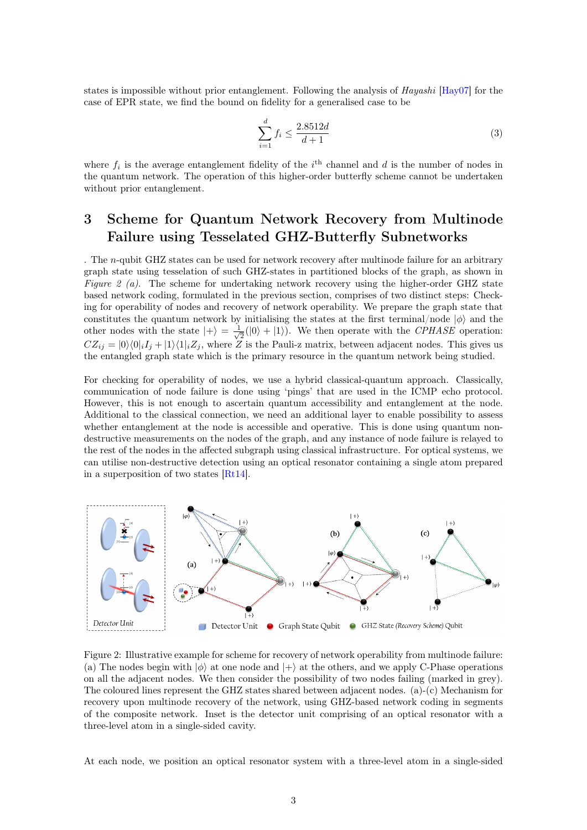states is impossible without prior entanglement. Following the analysis of Hayashi [\[Hay07\]](#page-4-8) for the case of EPR state, we find the bound on fidelity for a generalised case to be

$$
\sum_{i=1}^{d} f_i \le \frac{2.8512d}{d+1} \tag{3}
$$

where  $f_i$  is the average entanglement fidelity of the  $i<sup>th</sup>$  channel and d is the number of nodes in the quantum network. The operation of this higher-order butterfly scheme cannot be undertaken without prior entanglement.

# 3 Scheme for Quantum Network Recovery from Multinode Failure using Tesselated GHZ-Butterfly Subnetworks

. The n-qubit GHZ states can be used for network recovery after multinode failure for an arbitrary graph state using tesselation of such GHZ-states in partitioned blocks of the graph, as shown in Figure 2 (a). The scheme for undertaking network recovery using the higher-order GHZ state based network coding, formulated in the previous section, comprises of two distinct steps: Checking for operability of nodes and recovery of network operability. We prepare the graph state that constitutes the quantum network by initialising the states at the first terminal/node  $|\phi\rangle$  and the other nodes with the state  $|+\rangle = \frac{1}{\sqrt{2}}$  $\frac{1}{2}(|0\rangle + |1\rangle)$ . We then operate with the *CPHASE* operation:  $CZ_{ij} = |0\rangle\langle0|_iI_j + |1\rangle\langle1|_iZ_j$ , where Z is the Pauli-z matrix, between adjacent nodes. This gives us the entangled graph state which is the primary resource in the quantum network being studied.

For checking for operability of nodes, we use a hybrid classical-quantum approach. Classically, communication of node failure is done using 'pings' that are used in the ICMP echo protocol. However, this is not enough to ascertain quantum accessibility and entanglement at the node. Additional to the classical connection, we need an additional layer to enable possibility to assess whether entanglement at the node is accessible and operative. This is done using quantum nondestructive measurements on the nodes of the graph, and any instance of node failure is relayed to the rest of the nodes in the affected subgraph using classical infrastructure. For optical systems, we can utilise non-destructive detection using an optical resonator containing a single atom prepared in a superposition of two states  $[Rt14]$ .



Figure 2: Illustrative example for scheme for recovery of network operability from multinode failure: (a) The nodes begin with  $|\phi\rangle$  at one node and  $|+\rangle$  at the others, and we apply C-Phase operations on all the adjacent nodes. We then consider the possibility of two nodes failing (marked in grey). The coloured lines represent the GHZ states shared between adjacent nodes. (a)-(c) Mechanism for recovery upon multinode recovery of the network, using GHZ-based network coding in segments of the composite network. Inset is the detector unit comprising of an optical resonator with a three-level atom in a single-sided cavity.

At each node, we position an optical resonator system with a three-level atom in a single-sided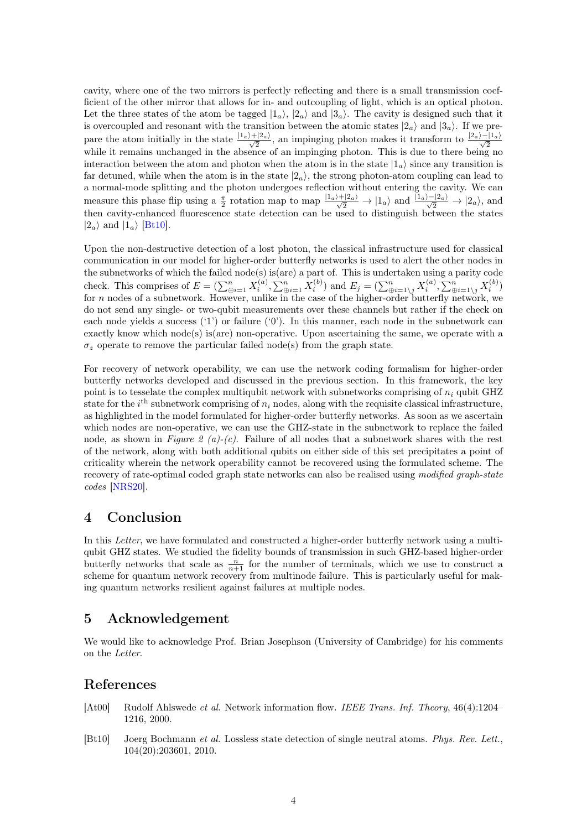cavity, where one of the two mirrors is perfectly reflecting and there is a small transmission coefficient of the other mirror that allows for in- and outcoupling of light, which is an optical photon. Let the three states of the atom be tagged  $|1_a\rangle$ ,  $|2_a\rangle$  and  $|3_a\rangle$ . The cavity is designed such that it is overcoupled and resonant with the transition between the atomic states  $|2_a\rangle$  and  $|3_a\rangle$ . If we prepare the atom initially in the state  $\frac{|1_a\rangle+|2_a\rangle}{\sqrt{2}}$ , an impinging photon makes it transform to  $\frac{|2_a\rangle-|1_a\rangle}{\sqrt{2}}$  while it remains unchanged in the absence of an impinging photon. This is due to there being no interaction between the atom and photon when the atom is in the state  $|1_a\rangle$  since any transition is far detuned, while when the atom is in the state  $|2<sub>a</sub>\rangle$ , the strong photon-atom coupling can lead to a normal-mode splitting and the photon undergoes reflection without entering the cavity. We can measure this phase flip using a  $\frac{\pi}{2}$  rotation map to map  $\frac{|1_a\rangle+|2_a\rangle}{\sqrt{2}} \to |1_a\rangle$  and  $\frac{|1_a\rangle-|2_a\rangle}{\sqrt{2}} \to |2_a\rangle$ , and then cavity-enhanced fluorescence state detection can be used to distinguish between the states  $|2_a\rangle$  and  $|1_a\rangle$  [\[Bt10\]](#page-3-1).

Upon the non-destructive detection of a lost photon, the classical infrastructure used for classical communication in our model for higher-order butterfly networks is used to alert the other nodes in the subnetworks of which the failed node(s) is(are) a part of. This is undertaken using a parity code check. This comprises of  $E = (\sum_{\oplus i=1}^n X_i^{(a)}, \sum_{\oplus i=1}^n X_i^{(b)})$  and  $E_j = (\sum_{\oplus i=1\setminus j}^n X_i^{(a)}, \sum_{\oplus i=1\setminus j}^n X_i^{(b)})$ for n nodes of a subnetwork. However, unlike in the case of the higher-order butterfly network, we do not send any single- or two-qubit measurements over these channels but rather if the check on each node yields a success  $(1')$  or failure  $(0')$ . In this manner, each node in the subnetwork can exactly know which node(s) is(are) non-operative. Upon ascertaining the same, we operate with a  $\sigma_z$  operate to remove the particular failed node(s) from the graph state.

For recovery of network operability, we can use the network coding formalism for higher-order butterfly networks developed and discussed in the previous section. In this framework, the key point is to tesselate the complex multiqubit network with subnetworks comprising of  $n_i$  qubit GHZ state for the  $i<sup>th</sup>$  subnetwork comprising of  $n<sub>i</sub>$  nodes, along with the requisite classical infrastructure, as highlighted in the model formulated for higher-order butterfly networks. As soon as we ascertain which nodes are non-operative, we can use the GHZ-state in the subnetwork to replace the failed node, as shown in Figure 2 (a)-(c). Failure of all nodes that a subnetwork shares with the rest of the network, along with both additional qubits on either side of this set precipitates a point of criticality wherein the network operability cannot be recovered using the formulated scheme. The recovery of rate-optimal coded graph state networks can also be realised using modified graph-state codes [\[NRS20\]](#page-4-10).

# 4 Conclusion

In this Letter, we have formulated and constructed a higher-order butterfly network using a multiqubit GHZ states. We studied the fidelity bounds of transmission in such GHZ-based higher-order butterfly networks that scale as  $\frac{n}{n+1}$  for the number of terminals, which we use to construct a scheme for quantum network recovery from multinode failure. This is particularly useful for making quantum networks resilient against failures at multiple nodes.

# 5 Acknowledgement

We would like to acknowledge Prof. Brian Josephson (University of Cambridge) for his comments on the Letter.

### References

- <span id="page-3-0"></span>[At00] Rudolf Ahlswede *et al.* Network information flow. IEEE Trans. Inf. Theory, 46(4):1204– 1216, 2000.
- <span id="page-3-1"></span>[Bt10] Joerg Bochmann et al. Lossless state detection of single neutral atoms. Phys. Rev. Lett., 104(20):203601, 2010.